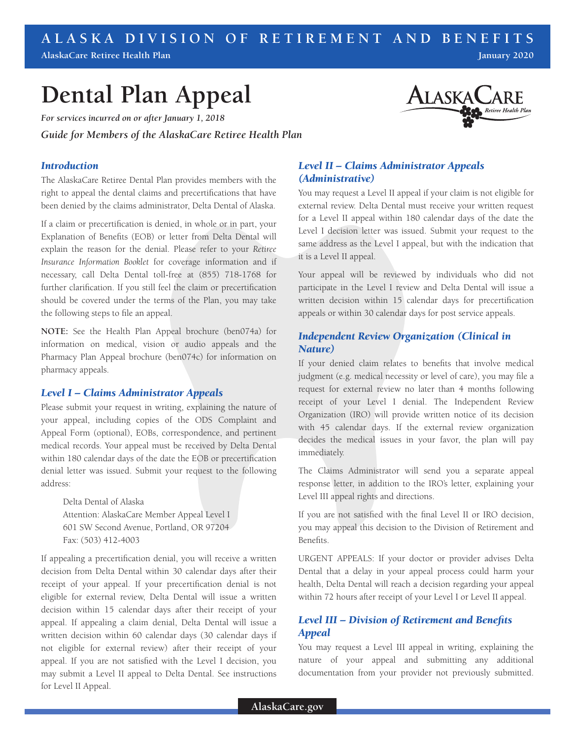# **ALASKA DIVISION OF RETIREMENT AND BENEFITS January 2020**

**AlaskaCare Retiree Health Plan**

# **Dental Plan Appeal**

*For services incurred on or after January 1, 2018 Guide for Members of the AlaskaCare Retiree Health Plan*

#### *Introduction*

The AlaskaCare Retiree Dental Plan provides members with the right to appeal the dental claims and precertifications that have been denied by the claims administrator, Delta Dental of Alaska.

If a claim or precertification is denied, in whole or in part, your Explanation of Benefits (EOB) or letter from Delta Dental will explain the reason for the denial. Please refer to your *Retiree Insurance Information Booklet* for coverage information and if necessary, call Delta Dental toll-free at (855) 718-1768 for further clarification. If you still feel the claim or precertification should be covered under the terms of the Plan, you may take the following steps to file an appeal.

**NOTE:** See the Health Plan Appeal brochure (ben074a) for information on medical, vision or audio appeals and the Pharmacy Plan Appeal brochure (ben074c) for information on pharmacy appeals.

#### *Level I – Claims Administrator Appeals*

Please submit your request in writing, explaining the nature of your appeal, including copies of the ODS Complaint and Appeal Form (optional), EOBs, correspondence, and pertinent medical records. Your appeal must be received by Delta Dental within 180 calendar days of the date the EOB or precertification denial letter was issued. Submit your request to the following address:

Delta Dental of Alaska Attention: AlaskaCare Member Appeal Level I 601 SW Second Avenue, Portland, OR 97204 Fax: (503) 412-4003

If appealing a precertification denial, you will receive a written decision from Delta Dental within 30 calendar days after their receipt of your appeal. If your precertification denial is not eligible for external review, Delta Dental will issue a written decision within 15 calendar days after their receipt of your appeal. If appealing a claim denial, Delta Dental will issue a written decision within 60 calendar days (30 calendar days if not eligible for external review) after their receipt of your appeal. If you are not satisfied with the Level I decision, you may submit a Level II appeal to Delta Dental. See instructions for Level II Appeal.



# *Level II – Claims Administrator Appeals (Administrative)*

You may request a Level II appeal if your claim is not eligible for external review. Delta Dental must receive your written request for a Level II appeal within 180 calendar days of the date the Level I decision letter was issued. Submit your request to the same address as the Level I appeal, but with the indication that it is a Level II appeal.

Your appeal will be reviewed by individuals who did not participate in the Level I review and Delta Dental will issue a written decision within 15 calendar days for precertification appeals or within 30 calendar days for post service appeals.

### *Independent Review Organization (Clinical in Nature)*

If your denied claim relates to benefits that involve medical judgment (e.g. medical necessity or level of care), you may file a request for external review no later than 4 months following receipt of your Level I denial. The Independent Review Organization (IRO) will provide written notice of its decision with 45 calendar days. If the external review organization decides the medical issues in your favor, the plan will pay immediately.

The Claims Administrator will send you a separate appeal response letter, in addition to the IRO's letter, explaining your Level III appeal rights and directions.

If you are not satisfied with the final Level II or IRO decision, you may appeal this decision to the Division of Retirement and Benefits.

URGENT APPEALS: If your doctor or provider advises Delta Dental that a delay in your appeal process could harm your health, Delta Dental will reach a decision regarding your appeal within 72 hours after receipt of your Level I or Level II appeal.

# *Level III – Division of Retirement and Benefits Appeal*

You may request a Level III appeal in writing, explaining the nature of your appeal and submitting any additional documentation from your provider not previously submitted.